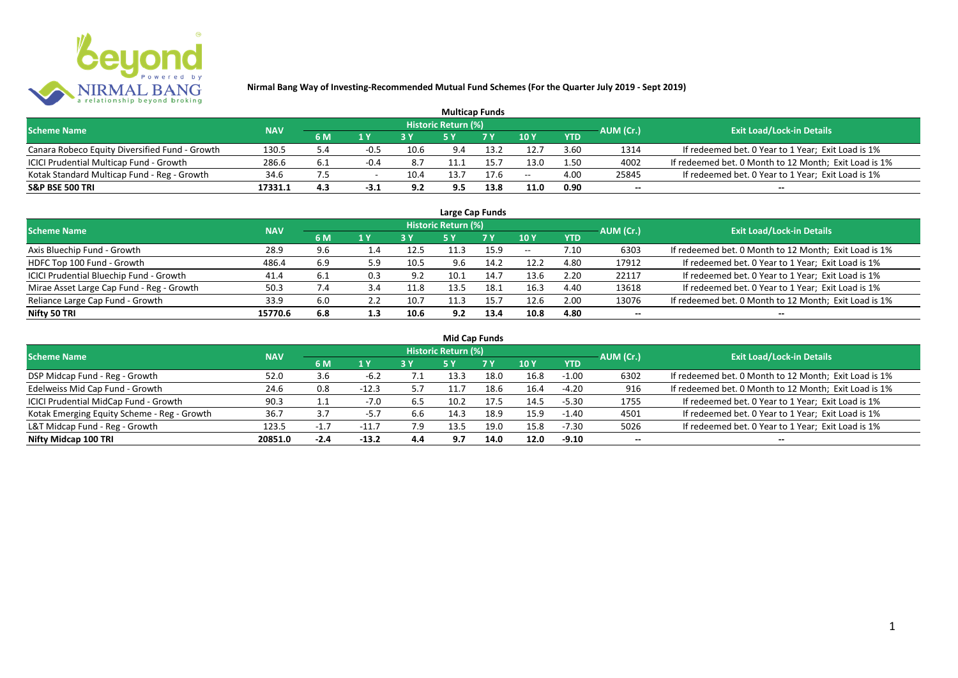

| <b>Multicap Funds</b>                          |            |     |        |      |                     |      |       |            |           |                                                       |  |  |  |
|------------------------------------------------|------------|-----|--------|------|---------------------|------|-------|------------|-----------|-------------------------------------------------------|--|--|--|
| <b>Scheme Name</b>                             | <b>NAV</b> |     |        |      | Historic Return (%) |      |       |            | AUM (Cr.) | <b>Exit Load/Lock-in Details</b>                      |  |  |  |
|                                                |            | 6 M | 1 Y    | 2V   |                     | 7 V  | 10 Y  | <b>YTD</b> |           |                                                       |  |  |  |
| Canara Robeco Equity Diversified Fund - Growth | 130.5      | 5.4 | -0.5   | 10.6 | 9.4                 | 13.7 | 12.7  | 3.60       | 1314      | If redeemed bet. 0 Year to 1 Year; Exit Load is 1%    |  |  |  |
| ICICI Prudential Multicap Fund - Growth        | 286.6      | 6.1 | $-0.4$ | 8.7  |                     | 15.  | 13.0  | 1.50       | 4002      | If redeemed bet. 0 Month to 12 Month; Exit Load is 1% |  |  |  |
| Kotak Standard Multicap Fund - Reg - Growth    | 34.6       |     |        | 10.4 | L3.7                | 17.b | $- -$ | 4.00       | 25845     | If redeemed bet. 0 Year to 1 Year; Exit Load is 1%    |  |  |  |
| <b>S&amp;P BSE 500 TRI</b>                     | 17331.1    | 4.3 | $-3.1$ | 9.2  | 9.5                 | 13.8 | 11.0  | 0.90       | $- -$     | $- -$                                                 |  |  |  |

| Large Cap Funds                           |            |     |     |      |                            |      |            |            |           |                                                       |  |  |  |
|-------------------------------------------|------------|-----|-----|------|----------------------------|------|------------|------------|-----------|-------------------------------------------------------|--|--|--|
| <b>Scheme Name</b>                        | <b>NAV</b> |     |     |      | <b>Historic Return (%)</b> |      |            |            | AUM (Cr.) | <b>Exit Load/Lock-in Details</b>                      |  |  |  |
|                                           |            | 6 M | 1 Y |      | <b>5Y</b>                  | 7 Y  | 10Y        | <b>YTD</b> |           |                                                       |  |  |  |
| Axis Bluechip Fund - Growth               | 28.9       | 9.6 | 1.4 | 12.5 | 11.3                       | 15.9 | $\sim$ $-$ | 7.10       | 6303      | If redeemed bet. 0 Month to 12 Month; Exit Load is 1% |  |  |  |
| HDFC Top 100 Fund - Growth                | 486.4      | 6.9 | 5.9 | 10.5 | 9.6                        | 14.2 | 12.2       | 4.80       | 17912     | If redeemed bet. 0 Year to 1 Year; Exit Load is 1%    |  |  |  |
| ICICI Prudential Bluechip Fund - Growth   | 41.4       | 6.1 | 0.3 | 9.2  | 10.1                       | 14.7 | 13.6       | 2.20       | 22117     | If redeemed bet. 0 Year to 1 Year; Exit Load is 1%    |  |  |  |
| Mirae Asset Large Cap Fund - Reg - Growth | 50.3       |     |     | 11.8 | 13.5                       | 18.1 | 16.3       | 4.40       | 13618     | If redeemed bet. 0 Year to 1 Year; Exit Load is 1%    |  |  |  |
| Reliance Large Cap Fund - Growth          | 33.9       | 6.0 |     | 10.7 | 11.3                       | 15.7 | 12.6       | 2.00       | 13076     | If redeemed bet. 0 Month to 12 Month; Exit Load is 1% |  |  |  |
| Nifty 50 TRI                              | 15770.6    | 6.8 | 1.3 | 10.6 | 9.2                        | 13.4 | 10.8       | 4.80       |           | --                                                    |  |  |  |

| <b>Mid Cap Funds</b>                        |            |        |         |     |                     |      |      |            |                          |                                                       |  |  |  |  |
|---------------------------------------------|------------|--------|---------|-----|---------------------|------|------|------------|--------------------------|-------------------------------------------------------|--|--|--|--|
| <b>Scheme Name</b>                          | <b>NAV</b> |        |         |     | Historic Return (%) |      |      |            | AUM (Cr.)                | <b>Exit Load/Lock-in Details</b>                      |  |  |  |  |
|                                             |            | 6 M    | 1 Y     |     | 5 Y                 | 7 Y  | 10Y  | <b>YTD</b> |                          |                                                       |  |  |  |  |
| DSP Midcap Fund - Reg - Growth              | 52.0       | 3.6    | -6.2    | 7.1 | 13.3                | 18.0 | 16.8 | $-1.00$    | 6302                     | If redeemed bet. 0 Month to 12 Month; Exit Load is 1% |  |  |  |  |
| Edelweiss Mid Cap Fund - Growth             | 24.6       | 0.8    | $-12.3$ | 5.7 | 11.7                | 18.6 | 16.4 | -4.20      | 916                      | If redeemed bet. 0 Month to 12 Month; Exit Load is 1% |  |  |  |  |
| ICICI Prudential MidCap Fund - Growth       | 90.3       |        | $-7.0$  | 6.5 | 10.2                | 17.5 | 14.5 | $-5.30$    | 1755                     | If redeemed bet. 0 Year to 1 Year; Exit Load is 1%    |  |  |  |  |
| Kotak Emerging Equity Scheme - Reg - Growth | 36.7       | 3.7    | -5.7    | 6.6 | 14.3                | 18.9 | 15.9 | $-1.40$    | 4501                     | If redeemed bet. 0 Year to 1 Year; Exit Load is 1%    |  |  |  |  |
| L&T Midcap Fund - Reg - Growth              | 123.5      | нT     | $-11.7$ | 7.9 | 13.5                | 19.0 | 15.8 | $-7.30$    | 5026                     | If redeemed bet. 0 Year to 1 Year; Exit Load is 1%    |  |  |  |  |
| Nifty Midcap 100 TRI                        | 20851.0    | $-2.4$ | $-13.2$ | 4.4 | 9.7                 | 14.0 | 12.0 | $-9.10$    | $\overline{\phantom{a}}$ | $- -$                                                 |  |  |  |  |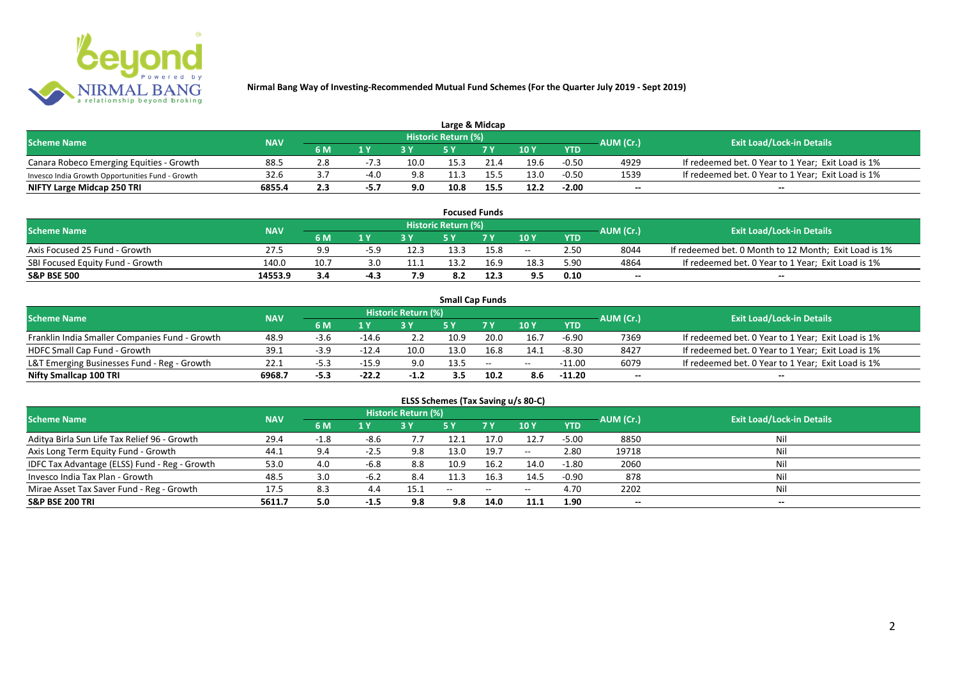

| Large & Midcap                                   |            |     |                |      |                            |      |      |            |           |                                                    |  |  |  |
|--------------------------------------------------|------------|-----|----------------|------|----------------------------|------|------|------------|-----------|----------------------------------------------------|--|--|--|
| <b>Scheme Name</b>                               | <b>NAV</b> |     |                |      | <b>Historic Return (%)</b> |      |      |            | AUM (Cr.) | <b>Exit Load/Lock-in Details</b>                   |  |  |  |
|                                                  |            | 6 M | 1 <sub>N</sub> |      |                            | 7 V  | 10Y  | <b>YTD</b> |           |                                                    |  |  |  |
| Canara Robeco Emerging Equities - Growth         | 88.5       |     |                | 10.0 | 15.3                       | 21.4 | 19.6 | $-0.50$    | 4929      | If redeemed bet. 0 Year to 1 Year; Exit Load is 1% |  |  |  |
| Invesco India Growth Opportunities Fund - Growth | 32.6       |     | $-4.0$         | 9.8  |                            | 155  | 13.0 | $-0.50$    | 1539      | If redeemed bet. 0 Year to 1 Year; Exit Load is 1% |  |  |  |
| NIFTY Large Midcap 250 TRI                       | 6855.4     | 2.3 | י כ-           | 9.0  | 10.8                       | 15.5 | 12.2 | $-2.00$    | $- -$     | $- -$                                              |  |  |  |

| <b>Focused Funds</b>             |            |     |      |                |                     |      |       |            |           |                                                       |  |  |  |
|----------------------------------|------------|-----|------|----------------|---------------------|------|-------|------------|-----------|-------------------------------------------------------|--|--|--|
| <b>Scheme Name</b>               | <b>NAV</b> |     |      |                | Historic Return (%) |      |       |            | AUM (Cr.) | <b>Exit Load/Lock-in Details</b>                      |  |  |  |
|                                  |            | 6 M | 1 V  |                | c v                 | 7 V  | 10 Y  | <b>YTD</b> |           |                                                       |  |  |  |
| Axis Focused 25 Fund - Growth    | 27.5       | 9.9 | -5 Q | 12.3           | 13.3                | 15.8 | $- -$ | 2.50       | 8044      | If redeemed bet. 0 Month to 12 Month; Exit Load is 1% |  |  |  |
| SBI Focused Equity Fund - Growth | 140.0      | 10. |      | 11.1           | 13.2                | 16.9 | 18.3  | 5.90       | 4864      | If redeemed bet. 0 Year to 1 Year; Exit Load is 1%    |  |  |  |
| <b>S&amp;P BSE 500</b>           | 14553.9    | 3.4 | -4.3 | <b>70</b><br>, | 8.2                 | 12.3 | 9.5   | 0.10       | $- -$     | $- -$                                                 |  |  |  |

|                                                |            |        |         |                     | <b>Small Cap Funds</b> |                                                |       |            |           |                                                    |
|------------------------------------------------|------------|--------|---------|---------------------|------------------------|------------------------------------------------|-------|------------|-----------|----------------------------------------------------|
| <b>Scheme Name</b>                             | <b>NAV</b> |        |         | Historic Return (%) |                        |                                                |       |            | AUM (Cr.) | <b>Exit Load/Lock-in Details</b>                   |
|                                                |            | 6 M    |         |                     |                        |                                                | 10Y   | <b>YTD</b> |           |                                                    |
| Franklin India Smaller Companies Fund - Growth | 48.9       | -3.t   | $-14.6$ |                     | 10.9                   | 20.0                                           | 16.7  | $-6.90$    | 7369      | If redeemed bet. 0 Year to 1 Year; Exit Load is 1% |
| HDFC Small Cap Fund - Growth                   | 39.1       | $-3.9$ | $-12.4$ | 10.0                | 13.0                   | 16.8                                           | 14.1  | $-8.30$    | 8427      | If redeemed bet. 0 Year to 1 Year; Exit Load is 1% |
| L&T Emerging Businesses Fund - Reg - Growth    | 22.1       | -5.3   | $-15.9$ | 9.0                 | 13.5                   | $\hspace{0.1mm}-\hspace{0.1mm}-\hspace{0.1mm}$ | $- -$ | $-11.00$   | 6079      | If redeemed bet. 0 Year to 1 Year; Exit Load is 1% |
| Nifty Smallcap 100 TRI                         | 6968.7     | $-5.3$ | $-22.2$ | $-1.2$              | 3.5                    | 10.2                                           | 8.6   | $-11.20$   | $- -$     | --                                                 |

# **ELSS Schemes (Tax Saving u/s 80-C)**

| <b>Scheme Name</b>                            | <b>NAV</b> |        |        | <b>Historic Return (%)</b> |      |      |         |            | AUM (Cr.)                | <b>Exit Load/Lock-in Details</b> |
|-----------------------------------------------|------------|--------|--------|----------------------------|------|------|---------|------------|--------------------------|----------------------------------|
|                                               |            | 6 M    | 1 Y    |                            | 5 Y  | 7Y   | 10Y     | <b>YTD</b> |                          |                                  |
| Aditya Birla Sun Life Tax Relief 96 - Growth  | 29.4       | $-1.8$ | -8.6   |                            | 12.1 | 17.0 | 12.7    | $-5.00$    | 8850                     | Nil                              |
| Axis Long Term Equity Fund - Growth           | 44.1       | 9.4    | -2.5   | 9.8                        | 13.0 | 19.7 | $-  \,$ | 2.80       | 19718                    |                                  |
| IDFC Tax Advantage (ELSS) Fund - Reg - Growth | 53.0       | 4.0    | $-6.8$ | 8.8                        | 10.9 | 16.2 | 14.0    | $-1.80$    | 2060                     |                                  |
| Invesco India Tax Plan - Growth               | 48.5       | 3.0    | -6.2   | 8.4                        | 11.3 | 16.3 | 14.5    | $-0.90$    | 878                      |                                  |
| Mirae Asset Tax Saver Fund - Reg - Growth     | 17.5       | 8.3    | 4.4    | 15.1                       | --   | --   | $- -$   | 4.70       | 2202                     |                                  |
| <b>S&amp;P BSE 200 TRI</b>                    | 5611.7     | 5.0    | -1.5   | 9.8                        | 9.8  | 14.0 | 11.1    | 1.90       | $\overline{\phantom{a}}$ | $\overline{\phantom{a}}$         |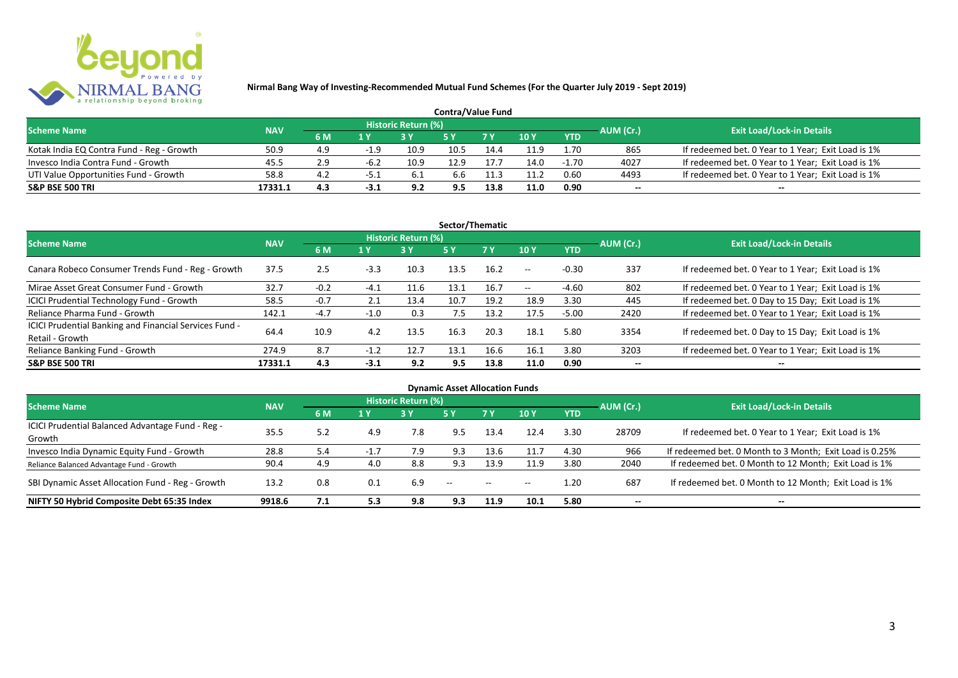

| <b>Contra/Value Fund</b>                  |            |     |        |                     |      |      |        |            |           |                                                    |  |  |  |
|-------------------------------------------|------------|-----|--------|---------------------|------|------|--------|------------|-----------|----------------------------------------------------|--|--|--|
| <b>Scheme Name</b>                        | <b>NAV</b> |     |        | Historic Return (%) |      |      |        |            | AUM (Cr.) | <b>Exit Load/Lock-in Details</b>                   |  |  |  |
|                                           |            | 6 M | 1 Y    |                     |      | 7Y   | $-10V$ | <b>YTD</b> |           |                                                    |  |  |  |
| Kotak India EQ Contra Fund - Reg - Growth | 50.9       | 4.9 | -1.9   | 10.9                | 10.5 | 14.4 | 11.9   | 1.70       | 865       | If redeemed bet. 0 Year to 1 Year; Exit Load is 1% |  |  |  |
| Invesco India Contra Fund - Growth        | 45.5       | 2.9 | -6.2   | 10.9                |      | 17.7 | 14.0   | $-1.70$    | 4027      | If redeemed bet. 0 Year to 1 Year; Exit Load is 1% |  |  |  |
| UTI Value Opportunities Fund - Growth     | 58.8       | 4.2 | -5     | -6.1                | 5.b  | 11.3 | 11.2   | 0.60       | 4493      | If redeemed bet. 0 Year to 1 Year; Exit Load is 1% |  |  |  |
| <b>S&amp;P BSE 500 TRI</b>                | 17331.1    | 4.3 | $-3.1$ | 9.2                 | 9.5  | 13.8 | 11.0   | 0.90       | $-$       | $- -$                                              |  |  |  |

| Sector/Thematic                                                           |            |        |        |                            |            |           |            |            |           |                                                    |  |  |  |
|---------------------------------------------------------------------------|------------|--------|--------|----------------------------|------------|-----------|------------|------------|-----------|----------------------------------------------------|--|--|--|
| <b>Scheme Name</b>                                                        | <b>NAV</b> |        |        | <b>Historic Return (%)</b> |            |           |            |            | AUM (Cr.) | <b>Exit Load/Lock-in Details</b>                   |  |  |  |
|                                                                           |            | 6 M    | 1 Y    | <b>3Y</b>                  | <b>5 Y</b> | <b>7Y</b> | 10Y        | <b>YTD</b> |           |                                                    |  |  |  |
| Canara Robeco Consumer Trends Fund - Reg - Growth                         | 37.5       | 2.5    | $-3.3$ | 10.3                       | 13.5       | 16.2      | $\sim$ $-$ | $-0.30$    | 337       | If redeemed bet. 0 Year to 1 Year; Exit Load is 1% |  |  |  |
| Mirae Asset Great Consumer Fund - Growth                                  | 32.7       | $-0.2$ | $-4.1$ | 11.6                       | 13.1       | 16.7      | $\sim$ $-$ | -4.60      | 802       | If redeemed bet. 0 Year to 1 Year; Exit Load is 1% |  |  |  |
| <b>ICICI Prudential Technology Fund - Growth</b>                          | 58.5       | $-0.7$ | 2.1    | 13.4                       | 10.7       | 19.2      | 18.9       | 3.30       | 445       | If redeemed bet. 0 Day to 15 Day; Exit Load is 1%  |  |  |  |
| Reliance Pharma Fund - Growth                                             | 142.1      | $-4.7$ | $-1.0$ | 0.3                        | 7.5        | 13.2      | 17.5       | $-5.00$    | 2420      | If redeemed bet. 0 Year to 1 Year; Exit Load is 1% |  |  |  |
| ICICI Prudential Banking and Financial Services Fund -<br>Retail - Growth | 64.4       | 10.9   | 4.2    | 13.5                       | 16.3       | 20.3      | 18.1       | 5.80       | 3354      | If redeemed bet. 0 Day to 15 Day; Exit Load is 1%  |  |  |  |
| Reliance Banking Fund - Growth                                            | 274.9      | 8.7    | $-1.2$ | 12.7                       | 13.1       | 16.6      | 16.1       | 3.80       | 3203      | If redeemed bet. 0 Year to 1 Year; Exit Load is 1% |  |  |  |
| <b>S&amp;P BSE 500 TRI</b>                                                | 17331.1    | 4.3    | $-3.1$ | 9.2                        | 9.5        | 13.8      | 11.0       | 0.90       | --        | --                                                 |  |  |  |

| <b>Dynamic Asset Allocation Funds</b>            |            |     |        |                            |               |               |       |            |                          |                                                         |  |  |  |
|--------------------------------------------------|------------|-----|--------|----------------------------|---------------|---------------|-------|------------|--------------------------|---------------------------------------------------------|--|--|--|
| <b>Scheme Name</b>                               | <b>NAV</b> |     |        | <b>Historic Return (%)</b> |               |               |       |            | AUM (Cr.)                | <b>Exit Load/Lock-in Details</b>                        |  |  |  |
|                                                  |            | 6 M | 1 Y    | 3Y                         | 5 Y           | 7Y            | 10Y   | <b>YTD</b> |                          |                                                         |  |  |  |
| ICICI Prudential Balanced Advantage Fund - Reg - | 35.5       | 5.2 | 4.9    | 7.8                        | 9.5           | 13.4          | 12.4  | 3.30       | 28709                    | If redeemed bet. 0 Year to 1 Year; Exit Load is 1%      |  |  |  |
| Growth                                           |            |     |        |                            |               |               |       |            |                          |                                                         |  |  |  |
| Invesco India Dynamic Equity Fund - Growth       | 28.8       | 5.4 | $-1.7$ | 7.9                        | 9.3           | 13.6          | 11.7  | 4.30       | 966                      | If redeemed bet. 0 Month to 3 Month; Exit Load is 0.25% |  |  |  |
| Reliance Balanced Advantage Fund - Growth        | 90.4       | 4.9 | 4.0    | 8.8                        | 9.3           | 13.9          | 11.9  | 3.80       | 2040                     | If redeemed bet. 0 Month to 12 Month; Exit Load is 1%   |  |  |  |
| SBI Dynamic Asset Allocation Fund - Reg - Growth | 13.2       | 0.8 | 0.1    | 6.9                        | $\sim$ $\sim$ | $\sim$ $\sim$ | $- -$ | 1.20       | 687                      | If redeemed bet. 0 Month to 12 Month; Exit Load is 1%   |  |  |  |
| NIFTY 50 Hybrid Composite Debt 65:35 Index       | 9918.6     | 7.1 | 5.3    | 9.8                        | 9.3           | 11.9          | 10.1  | 5.80       | $\overline{\phantom{a}}$ | $- -$                                                   |  |  |  |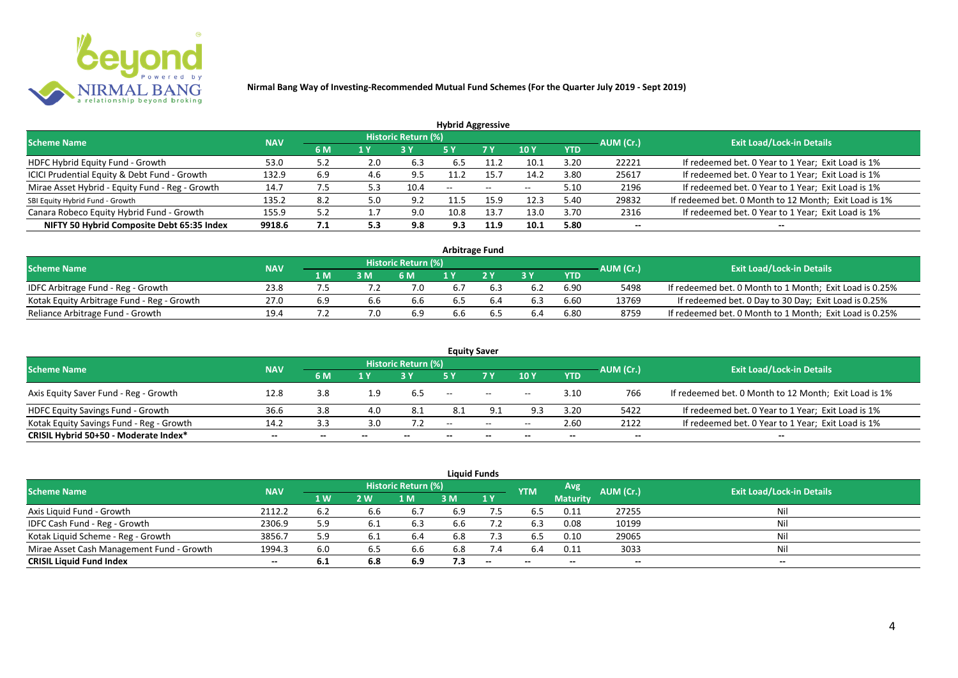

| <b>Hybrid Aggressive</b>                        |            |     |     |                            |                          |                          |                          |            |                          |                                                       |  |  |  |  |
|-------------------------------------------------|------------|-----|-----|----------------------------|--------------------------|--------------------------|--------------------------|------------|--------------------------|-------------------------------------------------------|--|--|--|--|
| <b>Scheme Name</b>                              | <b>NAV</b> |     |     | <b>Historic Return (%)</b> |                          |                          |                          |            | AUM (Cr.)                | <b>Exit Load/Lock-in Details</b>                      |  |  |  |  |
|                                                 |            | 6 M | 1 Y |                            | 5 Y                      | 7 Y                      | 10Y                      | <b>YTD</b> |                          |                                                       |  |  |  |  |
| HDFC Hybrid Equity Fund - Growth                | 53.0       | 5.2 | 2.0 | 6.3                        | 6.5                      |                          | 10.1                     | 3.20       | 22221                    | If redeemed bet. 0 Year to 1 Year; Exit Load is 1%    |  |  |  |  |
| ICICI Prudential Equity & Debt Fund - Growth    | 132.9      | 6.9 | 4.6 | 9.5                        |                          | 15.7                     | 14.2                     | 3.80       | 25617                    | If redeemed bet. 0 Year to 1 Year; Exit Load is 1%    |  |  |  |  |
| Mirae Asset Hybrid - Equity Fund - Reg - Growth | 14.7       | 7.5 | 52  | 10.4                       | $\overline{\phantom{a}}$ | $\overline{\phantom{a}}$ | $\overline{\phantom{a}}$ | 5.10       | 2196                     | If redeemed bet. 0 Year to 1 Year; Exit Load is 1%    |  |  |  |  |
| SBI Equity Hybrid Fund - Growth                 | 135.2      | 8.2 | 5.0 | 9.2                        |                          | 15.9                     | 12.3                     | 5.40       | 29832                    | If redeemed bet. 0 Month to 12 Month; Exit Load is 1% |  |  |  |  |
| Canara Robeco Equity Hybrid Fund - Growth       | 155.9      | 5.2 |     | 9.0                        | 10.8                     | 13.                      | 13.0                     | 3.70       | 2316                     | If redeemed bet. 0 Year to 1 Year; Exit Load is 1%    |  |  |  |  |
| NIFTY 50 Hybrid Composite Debt 65:35 Index      | 9918.6     | 7.1 | 5.3 | 9.8                        | 9.3                      | 11.9                     | 10.1                     | 5.80       | $\overline{\phantom{a}}$ | $- -$                                                 |  |  |  |  |

| Arbitrage Fund                             |            |     |     |                            |     |    |     |            |           |                                                         |  |  |  |
|--------------------------------------------|------------|-----|-----|----------------------------|-----|----|-----|------------|-----------|---------------------------------------------------------|--|--|--|
| <b>Scheme Name</b>                         | <b>NAV</b> |     |     | <b>Historic Return (%)</b> |     |    |     |            | AUM (Cr.) | <b>Exit Load/Lock-in Details</b>                        |  |  |  |
|                                            |            | 1 M | 3 M | 6 M                        |     | 2V | эv  | <b>YTD</b> |           |                                                         |  |  |  |
| IDFC Arbitrage Fund - Reg - Growth         | 23.8       |     |     | 7.0                        | 6.7 |    |     | 6.90       | 5498      | If redeemed bet. 0 Month to 1 Month; Exit Load is 0.25% |  |  |  |
| Kotak Equity Arbitrage Fund - Reg - Growth | 27.0       | 6.9 | 6.6 | 6.6                        |     |    |     | 6.60       | 13769     | If redeemed bet. 0 Day to 30 Day; Exit Load is 0.25%    |  |  |  |
| Reliance Arbitrage Fund - Growth           | 19.4       |     |     | 6.9                        | 6.6 |    | 6.4 | 6.80       | 8759      | If redeemed bet. 0 Month to 1 Month; Exit Load is 0.25% |  |  |  |

|                                          |            |       |     |                     |               | <b>Equity Saver</b>      |       |            |           |                                                       |
|------------------------------------------|------------|-------|-----|---------------------|---------------|--------------------------|-------|------------|-----------|-------------------------------------------------------|
| <b>Scheme Name</b>                       | <b>NAV</b> |       |     | Historic Return (%) |               |                          |       |            |           | <b>Exit Load/Lock-in Details</b>                      |
|                                          |            | 6 M   | 1 Y |                     |               | 7 <sub>V</sub>           | 10Y   | <b>YTD</b> | AUM (Cr.) |                                                       |
| Axis Equity Saver Fund - Reg - Growth    | 12.8       | 3.8   |     | 6.5                 | $- -$         | $\overline{\phantom{m}}$ | $- -$ | 3.10       | 766       | If redeemed bet. 0 Month to 12 Month; Exit Load is 1% |
| HDFC Equity Savings Fund - Growth        | 36.6       | 3.8   | 4.0 | -8.1                | -8.1          | 9.1                      | 9.3   | 3.20       | 5422      | If redeemed bet. 0 Year to 1 Year; Exit Load is 1%    |
| Kotak Equity Savings Fund - Reg - Growth | 14.2       | 3.3   |     |                     | $\sim$ $\sim$ | $\sim$ $\sim$            | $- -$ | 2.60       | 2122      | If redeemed bet. 0 Year to 1 Year; Exit Load is 1%    |
| CRISIL Hybrid 50+50 - Moderate Index*    | $- -$      | $- -$ |     | $- -$               |               |                          |       | --         | --        | $- -$                                                 |

|                                           |            |           |     |                     |     | <b>Liquid Funds</b>      |            |                 |           |                                  |
|-------------------------------------------|------------|-----------|-----|---------------------|-----|--------------------------|------------|-----------------|-----------|----------------------------------|
| <b>Scheme Name</b>                        | <b>NAV</b> |           |     | Historic Return (%) |     |                          | <b>YTM</b> | Avg             | AUM (Cr.) | <b>Exit Load/Lock-in Details</b> |
|                                           |            | <b>1W</b> | 2 W | 1 M                 | 3 M | 1Y                       |            | <b>Maturity</b> |           |                                  |
| Axis Liquid Fund - Growth                 | 2112.2     | 6.2       | 6.6 | 6.7                 | 6.9 | 7.5                      | 6.5        | 0.11            | 27255     | Nil                              |
| IDFC Cash Fund - Reg - Growth             | 2306.9     | 5.9       |     | 6.3                 | 6.6 |                          | 6.3        | 0.08            | 10199     | Nil                              |
| Kotak Liquid Scheme - Reg - Growth        | 3856.7     | 5.9       | 6.1 | 6.4                 | 6.8 | 7.3                      | 6.5        | 0.10            | 29065     | Nil                              |
| Mirae Asset Cash Management Fund - Growth | 1994.3     | 6.0       | 6.5 | 6.6                 | 6.8 | 7.4                      | 6.4        | 0.11            | 3033      | Nil                              |
| <b>CRISIL Liquid Fund Index</b>           | $- -$      | 6.1       | 6.8 | 6.9                 | 7.3 | $\overline{\phantom{a}}$ | $- -$      | $- -$           | $- -$     | $- -$                            |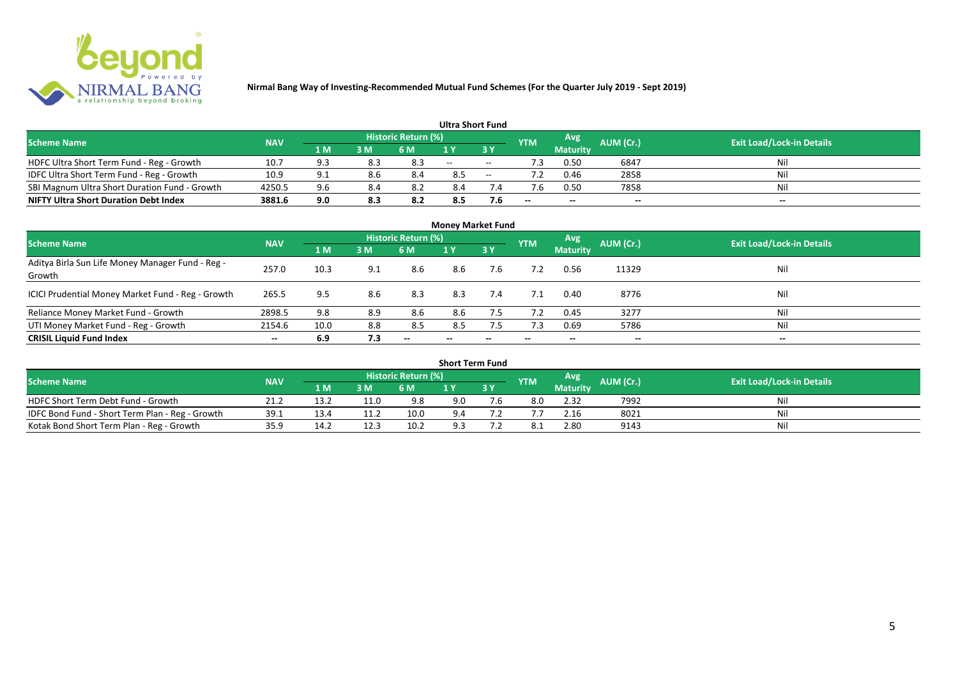

|                                               |            |     |            |     | <b>Ultra Short Fund</b> |                                  |       |                 |       |       |
|-----------------------------------------------|------------|-----|------------|-----|-------------------------|----------------------------------|-------|-----------------|-------|-------|
| <b>Scheme Name</b>                            | <b>NAV</b> |     | <b>YTM</b> | Avg | AUM (Cr.)               | <b>Exit Load/Lock-in Details</b> |       |                 |       |       |
|                                               |            | 1 M | 3 M        | 6 M | 1 Y                     |                                  |       | <b>Maturity</b> |       |       |
| HDFC Ultra Short Term Fund - Reg - Growth     | 10.7       | Q 3 | 8.3        | 8.3 | $  \,$                  | $\sim$                           | ٠3    | 0.50            | 6847  | Nil   |
| IDFC Ultra Short Term Fund - Reg - Growth     | 10.9       | 9.1 | 8.6        | 8.4 | 8.5                     | $\sim$                           |       | 0.46            | 2858  | Nil   |
| SBI Magnum Ultra Short Duration Fund - Growth | 4250.5     | 9.6 | 8.4        |     | 8.4                     |                                  |       | 0.50            | 7858  | Nil   |
| <b>NIFTY Ultra Short Duration Debt Index</b>  | 3881.6     | 9.0 | 8.3        | 8.2 | 8.5                     | 7.6                              | $- -$ | $- -$           | $- -$ | $- -$ |

| <b>Money Market Fund</b>                                   |                          |      |     |                     |       |                          |            |                 |                          |                                  |  |  |  |  |
|------------------------------------------------------------|--------------------------|------|-----|---------------------|-------|--------------------------|------------|-----------------|--------------------------|----------------------------------|--|--|--|--|
| <b>Scheme Name</b>                                         | <b>NAV</b>               |      |     | Historic Return (%) |       |                          | <b>YTM</b> | Avg             | AUM (Cr.)                | <b>Exit Load/Lock-in Details</b> |  |  |  |  |
|                                                            |                          | 1 M  | 3M  | 6 M                 | 1Y    | 3Y                       |            | <b>Maturity</b> |                          |                                  |  |  |  |  |
| Aditya Birla Sun Life Money Manager Fund - Reg -<br>Growth | 257.0                    | 10.3 | 9.1 | 8.6                 | 8.6   | 7.6                      |            | 0.56            | 11329                    | Nil                              |  |  |  |  |
| ICICI Prudential Money Market Fund - Reg - Growth          | 265.5                    | 9.5  | 8.6 | 8.3                 | 8.3   | 7.4                      | 7.1        | 0.40            | 8776                     | Nil                              |  |  |  |  |
| Reliance Money Market Fund - Growth                        | 2898.5                   | 9.8  | 8.9 | 8.6                 | 8.6   | 7.5                      | 7.2        | 0.45            | 3277                     | Nil                              |  |  |  |  |
| UTI Money Market Fund - Reg - Growth                       | 2154.6                   | 10.0 | 8.8 | 8.5                 | 8.5   | 7.5                      | 7.3        | 0.69            | 5786                     | Nil                              |  |  |  |  |
| <b>CRISIL Liquid Fund Index</b>                            | $\overline{\phantom{a}}$ | 6.9  | 7.3 | $- -$               | $- -$ | $\overline{\phantom{a}}$ | $- -$      | --              | $\overline{\phantom{a}}$ | $- -$                            |  |  |  |  |

| <b>Short Term Fund</b>                          |            |      |      |                            |     |           |            |                 |                  |                                  |  |  |  |  |
|-------------------------------------------------|------------|------|------|----------------------------|-----|-----------|------------|-----------------|------------------|----------------------------------|--|--|--|--|
| <b>Scheme Name</b>                              | <b>NAV</b> |      |      | <b>Historic Return (%)</b> |     |           | <b>YTM</b> | Avg             | <b>AUM (Cr.)</b> | <b>Exit Load/Lock-in Details</b> |  |  |  |  |
|                                                 |            | 1 M' | 3 M  | 6 M                        | 1 Y | <b>3Y</b> |            | <b>Maturity</b> |                  |                                  |  |  |  |  |
| HDFC Short Term Debt Fund - Growth              | 21.2       | 13.2 |      | 9.8                        | 9.0 | 7.b       | 8.0        | 2.32            | 7992             | Nil                              |  |  |  |  |
| IDFC Bond Fund - Short Term Plan - Reg - Growth | 39.1       | 13.4 |      | 10.0                       | 9.4 |           |            | 2.16            | 8021             | Nil                              |  |  |  |  |
| Kotak Bond Short Term Plan - Reg - Growth       | 35.9       | 14.2 | 12.3 | 10.2                       | 9.3 |           |            | 2.80            | 9143             | Nil                              |  |  |  |  |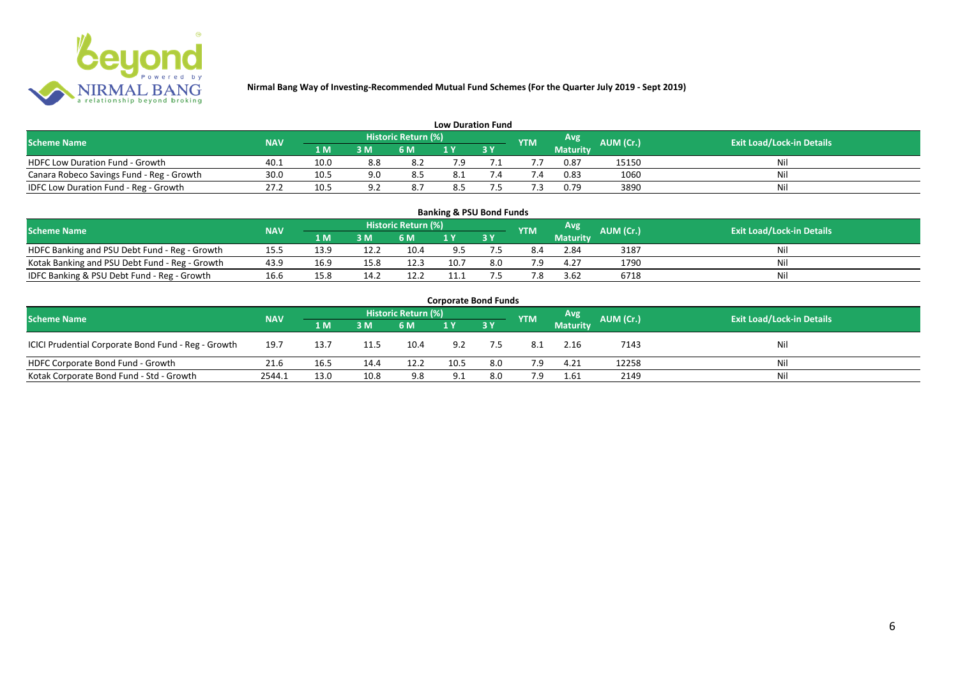

| <b>Low Duration Fund</b>                  |            |      |     |                            |     |  |            |          |           |                                  |  |  |  |  |
|-------------------------------------------|------------|------|-----|----------------------------|-----|--|------------|----------|-----------|----------------------------------|--|--|--|--|
| <b>Scheme Name</b>                        | <b>NAV</b> |      |     | <b>Historic Return (%)</b> |     |  | <b>YTM</b> | Avg      | AUM (Cr.) | <b>Exit Load/Lock-in Details</b> |  |  |  |  |
|                                           |            | 1 M  | 3 M | 6 M                        | 1 Y |  |            | Maturity |           |                                  |  |  |  |  |
| <b>HDFC Low Duration Fund - Growth</b>    | 40.1       | 10.0 | 8.8 | -8.2                       | 7.9 |  |            | 0.87     | 15150     | Nil                              |  |  |  |  |
| Canara Robeco Savings Fund - Reg - Growth | 30.0       | 10.5 | 9.0 | 8.5                        | 8.1 |  | '.4        | 0.83     | 1060      | Nil                              |  |  |  |  |
| IDFC Low Duration Fund - Reg - Growth     | 27.2       | 10.5 | റി  | 8.7                        | 8.5 |  |            | 0.79     | 3890      | Nil                              |  |  |  |  |

| <b>Banking &amp; PSU Bond Funds</b>            |            |      |                |                            |      |           |            |                 |           |                                  |  |  |  |  |
|------------------------------------------------|------------|------|----------------|----------------------------|------|-----------|------------|-----------------|-----------|----------------------------------|--|--|--|--|
| <b>Scheme Name</b>                             | <b>NAV</b> |      |                | <b>Historic Return (%)</b> |      |           | <b>YTM</b> | Avg             | AUM (Cr.) | <b>Exit Load/Lock-in Details</b> |  |  |  |  |
|                                                |            | 1 M  | 3 <sub>M</sub> | 6 M                        |      | <b>3Y</b> |            | <b>Maturity</b> |           |                                  |  |  |  |  |
| HDFC Banking and PSU Debt Fund - Reg - Growth  | 15.5       | 13.9 |                | 10.4                       |      |           | 8.4        | 2.84            | 3187      | Ni                               |  |  |  |  |
| Kotak Banking and PSU Debt Fund - Reg - Growth | 43.9       | 16.9 | 15.8           | 12.3                       | 10.7 | 8.0       | 7.9        | 4.27            | 1790      | Ni                               |  |  |  |  |
| IDFC Banking & PSU Debt Fund - Reg - Growth    | 16.6       | 15.8 | 14.2           | 12.2                       | 11.1 |           | '.8        | 3.62            | 6718      | Ni                               |  |  |  |  |

| <b>Corporate Bond Funds</b>                         |            |                                  |      |      |      |           |            |                 |       |     |  |  |  |  |
|-----------------------------------------------------|------------|----------------------------------|------|------|------|-----------|------------|-----------------|-------|-----|--|--|--|--|
| <b>Scheme Name</b>                                  | AUM (Cr.)  | <b>Exit Load/Lock-in Details</b> |      |      |      |           |            |                 |       |     |  |  |  |  |
|                                                     | <b>NAV</b> | 1 M                              | 3 M  | 6 M  |      | <b>3Y</b> | <b>YTM</b> | <b>Maturity</b> |       |     |  |  |  |  |
| ICICI Prudential Corporate Bond Fund - Reg - Growth | 19.7       | 13.7                             | 11.5 | 10.4 | 9.2  | 7.5       | 8.1        | 2.16            | 7143  | Nil |  |  |  |  |
| HDFC Corporate Bond Fund - Growth                   | 21.6       | 16.5                             | 14.4 | 12.2 | 10.5 | 8.0       | 7.9        | 4.21            | 12258 | Nil |  |  |  |  |
| Kotak Corporate Bond Fund - Std - Growth            | 2544.1     | 13.0                             | 10.8 | 9.8  | 9.1  | 8.0       | 7.9        | 1.61            | 2149  | Nil |  |  |  |  |